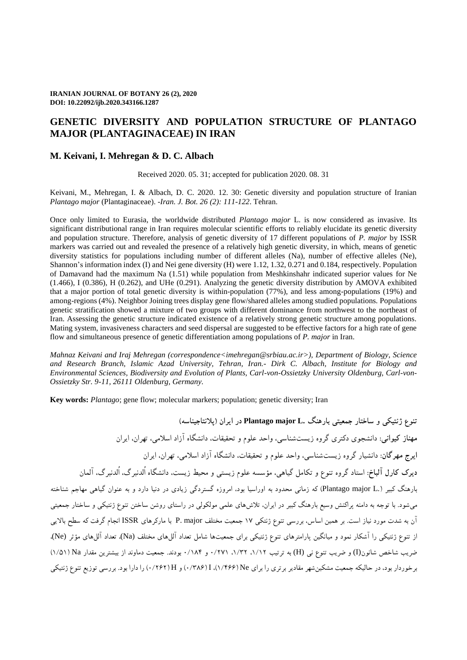# **GENETIC DIVERSITY AND POPULATION STRUCTURE OF PLANTAGO MAJOR (PLANTAGINACEAE) IN IRAN**

## **M. Keivani, I. Mehregan & D. C. Albach**

Received 2020. 05. 31; accepted for publication 2020. 08. 31

Keivani, M., Mehregan, I. & Albach, D. C. 2020. 12. 30: Genetic diversity and population structure of Iranian *Plantago major* (Plantaginaceae). -*Iran. J. Bot. 26 (2): 111-122*. Tehran.

Once only limited to Eurasia, the worldwide distributed *Plantago major* L. is now considered as invasive. Its significant distributional range in Iran requires molecular scientific efforts to reliably elucidate its genetic diversity and population structure. Therefore, analysis of genetic diversity of 17 different populations of *P. major* by ISSR markers was carried out and revealed the presence of a relatively high genetic diversity, in which, means of genetic diversity statistics for populations including number of different alleles (Na), number of effective alleles (Ne), Shannon's information index (I) and Nei gene diversity (H) were 1.12, 1.32, 0.271 and 0.184, respectively. Population of Damavand had the maximum Na (1.51) while population from Meshkinshahr indicated superior values for Ne (1.466), I (0.386), H (0.262), and UHe (0.291). Analyzing the genetic diversity distribution by AMOVA exhibited that a major portion of total genetic diversity is within-population (77%), and less among-populations (19%) and among-regions (4%). Neighbor Joining trees display gene flow/shared alleles among studied populations. Populations genetic stratification showed a mixture of two groups with different dominance from northwest to the northeast of Iran. Assessing the genetic structure indicated existence of a relatively strong genetic structure among populations. Mating system, invasiveness characters and seed dispersal are suggested to be effective factors for a high rate of gene flow and simultaneous presence of genetic differentiation among populations of *P. major* in Iran.

*Mahnaz Keivani and Iraj Mehregan (correspondence[<imehregan@srbiau.ac.ir>](mailto:imehregan@srbiau.ac.ir)), Department of Biology, Science and Research Branch, Islamic Azad University, Tehran, Iran.- Dirk C. Albach, Institute for Biology and Environmental Sciences, Biodiversity and Evolution of Plants, Carl-von-Ossietzky University Oldenburg, Carl-von-Ossietzky Str. 9-11, 26111 Oldenburg, Germany.*

**Key words:** *Plantago*; gene flow; molecular markers; population; genetic diversity; Iran

**تنوع ژنتیکی و ساختار جمعیتی بارهنگ .L major Plantago در ایران )پالنتاجیناسه( مهناز کیوانی:** دانشجوی دکتری گروه زیستشناسی، واحد علوم و تحقیقات، دانشگاه آزاد اسالمی، تهران، ایران **ایرج مهرگان:** دانشیار گروه زیستشناسی، واحد علوم و تحقیقات، دانشگاه آزاد اسالمی، تهران، ایران **دیرک کارل آلباخ:** استاد گروه تنوع و تکامل گیاهی، مؤسسه علوم زیستی و محیط زیست، دانشگاه اُلدنبرگ، اُلدنبرگ، آلمان بارهنگ کبیر ).L major Plantago )که زمانی محدود به اوراسیا بود، امروزه گستردگی زیادی در دنیا دارد و به عنوان گیاهی مهاجم شناخته میشود. با توجه به دامنه پراکنش وسیع بارهنگ کبیر در ایران، تالشهای علمی مولکولی در راستای روشن ساختن تنوع ژنتیکی و ساختار جمعیتی آن به شدت مورد نیاز است. بر همین اساس، بررسی تنوع ژنتکی 71 جمعیت مختلف major .P با مارکرهای ISSR انجام گرفت که سطح باالیی از تنوع ژنتیکی را آشکار نمود و میانگین پارامترهای تنوع ژنتیکی برای جمعیتها شامل تعداد آللهای مختلف (Na(، تعداد آللهای مؤثر (Ne(، ضریب شاخص شانون(I (و ضریب تنوع نی (H (به ترتیب ،7/71 ،7/21 0/117 و 0/781 بودند. جمعیت دماوند از بیشترین مقدار Na( 7/17 ) برخوردار بود، در حالیکه جمعیت مشکینشهر مقادیر برتری را برای Ne( 7/144)، I( 0/284 )و H( 0/141 )را دارا بود. بررسی توزیع تنوع ژنتیکی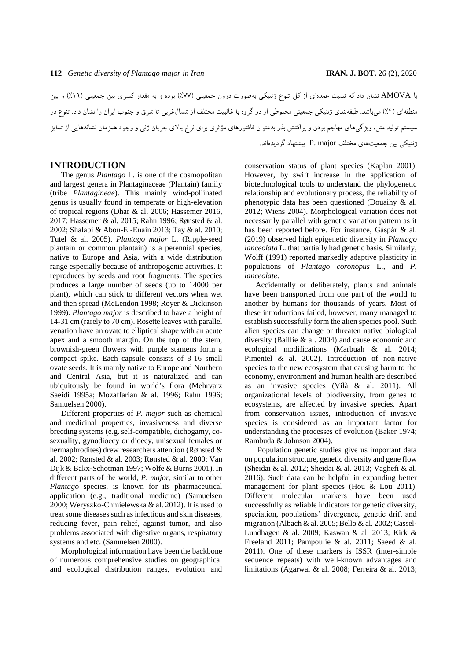با AMOVA نشان داد که نسبت عمدهای از کل تنوع ژنتیکی بهصورت درون جمعیتی )%11( بوده و به مقدار کمتری بین جمعیتی )%71( و بین منطقهای )%1( میباشد. طبقهبندی ژنتیکی جمعیتی مخلوطی از دو گروه با غالبیت مختلف از شمالغربی تا شرق و جنوب ایران را نشان داد. تنوع در سیستم تولید مثل، ویژگیهای مهاجم بودن و پراکنش بذر بهعنوان فاکتورهای مؤثری برای نرخ باالی جریان ژنی و وجود همزمان نشانههایی از تمایز ژنتیکی بین جمعیتهای مختلف major .P پیشنهاد گردیدهاند.

### **INTRODUCTION**

The genus *Plantago* L. is one of the cosmopolitan and largest genera in Plantaginaceae (Plantain) family (tribe *Plantagineae*). This mainly wind-pollinated genus is usually found in temperate or high-elevation of tropical regions (Dhar & al. 2006; Hassemer 2016, 2017; Hassemer & al. 2015; Rahn 1996; Rønsted & al. 2002; Shalabi & Abou-El-Enain 2013; Tay & al. 2010; Tutel & al. 2005). *Plantago major* L. (Ripple-seed plantain or common plantain) is a perennial species, native to Europe and Asia, with a wide distribution range especially because of anthropogenic activities. It reproduces by seeds and root fragments. The species produces a large number of seeds (up to 14000 per plant), which can stick to different vectors when wet and then spread (McLendon 1998; Royer & Dickinson 1999). *Plantago major* is described to have a height of 14-31 cm (rarely to 70 cm). Rosette leaves with parallel venation have an ovate to elliptical shape with an acute apex and a smooth margin. On the top of the stem, brownish-green flowers with purple stamens form a compact spike. Each capsule consists of 8-16 small ovate seeds. It is mainly native to Europe and Northern and Central Asia, but it is naturalized and can ubiquitously be found in world's flora (Mehrvarz Saeidi 1995a; Mozaffarian & al. 1996; Rahn 1996; Samuelsen 2000).

Different properties of *P. major* such as chemical and medicinal properties, invasiveness and diverse breeding systems (e.g. self-compatible, dichogamy, cosexuality, gynodioecy or dioecy, unisexual females or hermaphrodites) drew researchers attention (Rønsted & al. 2002; Rønsted & al. 2003; Rønsted & al. 2000; Van Dijk & Bakx‐Schotman 1997; Wolfe & Burns 2001). In different parts of the world, *P. major*, similar to other *Plantago* species, is known for its pharmaceutical application (e.g., traditional medicine) (Samuelsen 2000; Weryszko-Chmielewska & al. 2012). It is used to treat some diseases such as infectious and skin diseases, reducing fever, pain relief, against tumor, and also problems associated with digestive organs, respiratory systems and etc. (Samuelsen 2000).

Morphological information have been the backbone of numerous comprehensive studies on geographical and ecological distribution ranges, evolution and conservation status of plant species (Kaplan 2001). However, by swift increase in the application of biotechnological tools to understand the phylogenetic relationship and evolutionary process, the reliability of phenotypic data has been questioned (Douaihy & al. 2012; Wiens 2004). Morphological variation does not necessarily parallel with genetic variation pattern as it has been reported before. For instance, Gáspár & al. (2019) observed high epigenetic diversity in *Plantago lanceolata* L. that partially had genetic basis. Similarly, Wolff (1991) reported markedly adaptive plasticity in populations of *Plantago coronopus* L., and *P. lanceolate*.

Accidentally or deliberately, plants and animals have been transported from one part of the world to another by humans for thousands of years. Most of these introductions failed, however, many managed to establish successfully form the alien species pool. Such alien species can change or threaten native biological diversity (Baillie & al. 2004) and cause economic and ecological modifications (Marbuah & al. 2014; Pimentel & al. 2002). Introduction of non-native species to the new ecosystem that causing harm to the economy, environment and human health are described as an invasive species (Vilà & al. 2011). All organizational levels of biodiversity, from genes to ecosystems, are affected by invasive species. Apart from conservation issues, introduction of invasive species is considered as an important factor for understanding the processes of evolution (Baker 1974; Rambuda & Johnson 2004).

Population genetic studies give us important data on population structure, genetic diversity and gene flow (Sheidai & al. 2012; Sheidai & al. 2013; Vaghefi & al. 2016). Such data can be helpful in expanding better management for plant species (Hou & Lou 2011). Different molecular markers have been used successfully as reliable indicators for genetic diversity, speciation, populations' divergence, genetic drift and migration (Albach & al. 2005; Bello & al. 2002; Cassel-Lundhagen & al. 2009; Kaswan & al. 2013; Kirk & Freeland 2011; Pampoulie & al. 2011; Saeed & al. 2011). One of these markers is ISSR (inter-simple sequence repeats) with well-known advantages and limitations (Agarwal & al. 2008; Ferreira & al. 2013;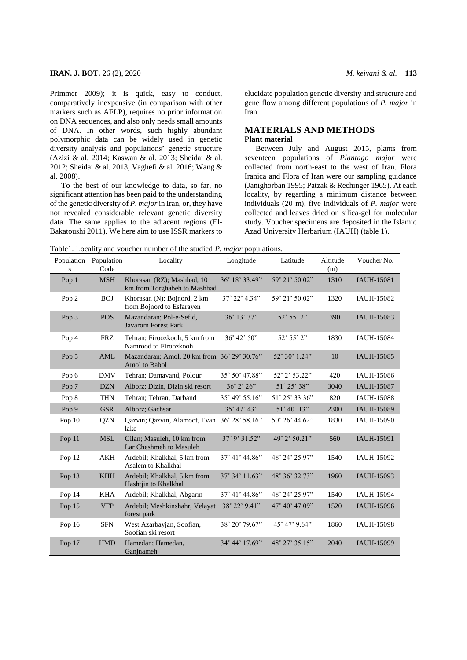Primmer 2009); it is quick, easy to conduct, comparatively inexpensive (in comparison with other markers such as AFLP), requires no prior information on DNA sequences, and also only needs small amounts of DNA. In other words, such highly abundant polymorphic data can be widely used in genetic diversity analysis and populations' genetic structure (Azizi & al. 2014; Kaswan & al. 2013; Sheidai & al. 2012; Sheidai & al. 2013; Vaghefi & al. 2016; Wang & al. 2008).

To the best of our knowledge to data, so far, no significant attention has been paid to the understanding of the genetic diversity of *P. major* in Iran, or, they have not revealed considerable relevant genetic diversity data. The same applies to the adjacent regions (El-Bakatoushi 2011). We here aim to use ISSR markers to elucidate population genetic diversity and structure and gene flow among different populations of *P. major* in Iran.

## **MATERIALS AND METHODS Plant material**

Between July and August 2015, plants from seventeen populations of *Plantago major* were collected from north-east to the west of Iran. Flora Iranica and Flora of Iran were our sampling guidance (Janighorban 1995; Patzak & Rechinger 1965). At each locality, by regarding a minimum distance between individuals (20 m), five individuals of *P. major* were collected and leaves dried on silica-gel for molecular study. Voucher specimens are deposited in the Islamic Azad University Herbarium (IAUH) (table 1).

Table1. Locality and voucher number of the studied *P. major* populations.

| Population<br>${\bf S}$ | Population<br>Code | Locality                                                     | Longitude<br>Latitude                  |                | Altitude<br>(m) | Voucher No.       |
|-------------------------|--------------------|--------------------------------------------------------------|----------------------------------------|----------------|-----------------|-------------------|
| Pop 1                   | <b>MSH</b>         | Khorasan (RZ); Mashhad, 10<br>km from Torghabeh to Mashhad   | 36° 18' 33.49"                         | 59° 21' 50.02" | 1310            | <b>IAUH-15081</b> |
| Pop 2                   | <b>BOJ</b>         | Khorasan (N); Bojnord, 2 km<br>from Bojnord to Esfarayen     | $37^{\circ}$ 22' 4.34"                 | 59° 21' 50.02" | 1320            | IAUH-15082        |
| Pop 3                   | <b>POS</b>         | Mazandaran; Pol-e-Sefid,<br><b>Javarom Forest Park</b>       | $36^{\circ}$ 13' 37"                   | 52° 55' 2"     | 390             | IAUH-15083        |
| Pop 4                   | <b>FRZ</b>         | Tehran; Firoozkooh, 5 km from<br>Namrood to Firoozkooh       | $36^{\circ}$ 42' $50^{\circ}$          | 52° 55' 2"     | 1830            | <b>IAUH-15084</b> |
| Pop 5                   | AML                | Mazandaran; Amol, 20 km from 36° 29' 30.76"<br>Amol to Babol |                                        | 52° 30' 1.24"  | 10              | IAUH-15085        |
| Pop 6                   | <b>DMV</b>         | Tehran; Damavand, Polour                                     | 35° 50' 47.88"                         | 52° 2' 53.22"  | 420             | IAUH-15086        |
| Pop 7                   | <b>DZN</b>         | Alborz; Dizin, Dizin ski resort                              | 36° 2' 26"                             | 51° 25' 38"    | 3040            | <b>IAUH-15087</b> |
| Pop 8                   | <b>THN</b>         | Tehran; Tehran, Darband                                      | $35^{\circ}$ 49' 55.16"                | 51° 25' 33.36" | 820             | <b>IAUH-15088</b> |
| Pop 9                   | <b>GSR</b>         | Alborz; Gachsar                                              | 35° 47' 43"                            | 51° 40' 13"    | 2300            | IAUH-15089        |
| Pop $10$                | <b>OZN</b>         | Qazvin; Qazvin, Alamoot, Evan 36° 28' 58.16"<br>lake         |                                        | 50° 26' 44.62" | 1830            | IAUH-15090        |
| Pop 11                  | <b>MSL</b>         | Gilan; Masuleh, 10 km from<br>Lar Cheshmeh to Masuleh        | $37^{\circ}$ 9' $31.52^{\prime\prime}$ | 49° 2' 50.21"  | 560             | IAUH-15091        |
| Pop 12                  | AKH                | Ardebil; Khalkhal, 5 km from<br>Asalem to Khalkhal           | $37^{\circ}$ 41' 44.86"                | 48° 24' 25.97" | 1540            | IAUH-15092        |
| Pop 13                  | <b>KHH</b>         | Ardebil; Khalkhal, 5 km from<br>Hashtjin to Khalkhal         | 37° 34' 11.63"                         | 48° 36' 32.73" | 1960            | IAUH-15093        |
| Pop 14                  | <b>KHA</b>         | Ardebil; Khalkhal, Abgarm                                    | 37° 41' 44.86"                         | 48° 24' 25.97" | 1540            | IAUH-15094        |
| Pop 15                  | <b>VFP</b>         | Ardebil; Meshkinshahr, Velayat<br>forest park                | 38° 22' 9.41"                          | 47° 40' 47.09" | 1520            | IAUH-15096        |
| Pop 16                  | <b>SFN</b>         | West Azarbayjan, Soofian,<br>Soofian ski resort              | 38° 20' 79.67"                         | 45° 47' 9.64"  | 1860            | <b>IAUH-15098</b> |
| Pop 17                  | <b>HMD</b>         | Hamedan; Hamedan,<br>Ganjnameh                               | 34° 44' 17.69"                         | 48° 27' 35.15" | 2040            | IAUH-15099        |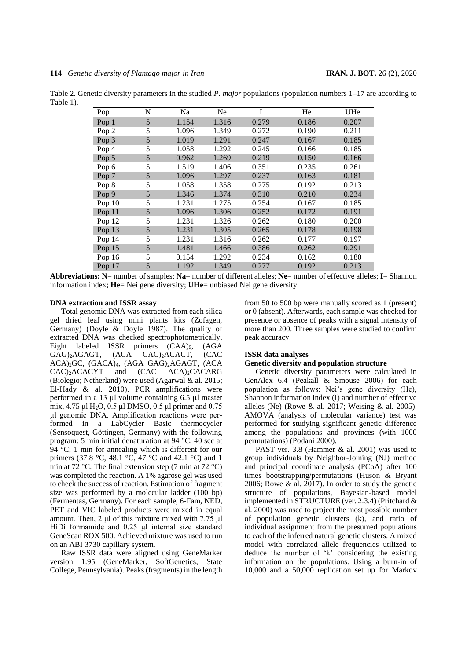|           |     |    |    | Table 2. Genetic diversity parameters in the studied P. major populations (population numbers $1-17$ are according to |     |  |
|-----------|-----|----|----|-----------------------------------------------------------------------------------------------------------------------|-----|--|
| Table 1). |     |    |    |                                                                                                                       |     |  |
|           | Pop | Na | Ne | He                                                                                                                    | JHe |  |

| Pop              | N | Na    | Ne    |       | He    | UHe   |
|------------------|---|-------|-------|-------|-------|-------|
| Pop 1            | 5 | 1.154 | 1.316 | 0.279 | 0.186 | 0.207 |
| Pop <sub>2</sub> | 5 | 1.096 | 1.349 | 0.272 | 0.190 | 0.211 |
| Pop 3            | 5 | 1.019 | 1.291 | 0.247 | 0.167 | 0.185 |
| Pop 4            | 5 | 1.058 | 1.292 | 0.245 | 0.166 | 0.185 |
| Pop 5            | 5 | 0.962 | 1.269 | 0.219 | 0.150 | 0.166 |
| Pop 6            | 5 | 1.519 | 1.406 | 0.351 | 0.235 | 0.261 |
| Pop 7            | 5 | 1.096 | 1.297 | 0.237 | 0.163 | 0.181 |
| Pop 8            | 5 | 1.058 | 1.358 | 0.275 | 0.192 | 0.213 |
| Pop 9            | 5 | 1.346 | 1.374 | 0.310 | 0.210 | 0.234 |
| Pop $10$         | 5 | 1.231 | 1.275 | 0.254 | 0.167 | 0.185 |
| Pop $11$         | 5 | 1.096 | 1.306 | 0.252 | 0.172 | 0.191 |
| Pop 12           | 5 | 1.231 | 1.326 | 0.262 | 0.180 | 0.200 |
| Pop 13           | 5 | 1.231 | 1.305 | 0.265 | 0.178 | 0.198 |
| Pop 14           | 5 | 1.231 | 1.316 | 0.262 | 0.177 | 0.197 |
| Pop 15           | 5 | 1.481 | 1.466 | 0.386 | 0.262 | 0.291 |
| Pop 16           | 5 | 0.154 | 1.292 | 0.234 | 0.162 | 0.180 |
| Pop 17           | 5 | 1.192 | 1.349 | 0.277 | 0.192 | 0.213 |

**Abbreviations: N**= number of samples; **Na**= number of different alleles; **Ne**= number of effective alleles; **I**= Shannon information index; **He**= Nei gene diversity; **UHe**= unbiased Nei gene diversity.

#### **DNA extraction and ISSR assay**

Total genomic DNA was extracted from each silica gel dried leaf using mini plants kits (Zofagen, Germany) (Doyle & Doyle 1987). The quality of extracted DNA was checked spectrophotometrically. Eight labeled ISSR primers (CAA)<sub>5</sub>, (AGA GAG)<sub>2</sub>AGAGT, (ACA CAC)<sub>2</sub>ACACT, (CAC CAC)<sub>2</sub>ACACT, (CAC ACA)<sub>2</sub>GC, (GACA)<sub>4</sub>, (AGA GAG)<sub>2</sub>AGAGT, (ACA<br>CAC)<sub>2</sub>ACACYT and (CAC ACA)<sub>2</sub>CACARG  $ACA$ <sub>2</sub> $CACARG$ (Biolegio; Netherland) were used (Agarwal & al. 2015; El-Hady & al. 2010). PCR amplifications were performed in a 13 μl volume containing 6.5 μl master mix, 4.75 μl H2O, 0.5 μl DMSO, 0.5 μl primer and 0.75 μl genomic DNA. Amplification reactions were performed in a LabCycler Basic thermocycler (Sensoquest, Göttingen, Germany) with the following program: 5 min initial denaturation at 94 °C, 40 sec at  $94 \text{ }^{\circ}$ C; 1 min for annealing which is different for our primers (37.8 °C, 48.1 °C, 47 °C and 42.1 °C) and 1 min at 72 °C. The final extension step (7 min at 72 °C) was completed the reaction. A 1% agarose gel was used to check the success of reaction. Estimation of fragment size was performed by a molecular ladder (100 bp) (Fermentas, Germany). For each sample, 6-Fam, NED, PET and VIC labeled products were mixed in equal amount. Then, 2 μl of this mixture mixed with 7.75 μl HiDi formamide and 0.25 μl internal size standard GeneScan ROX 500. Achieved mixture was used to run on an ABI 3730 capillary system.

Raw ISSR data were aligned using GeneMarker version 1.95 (GeneMarker, SoftGenetics, State College, Pennsylvania). Peaks (fragments) in the length from 50 to 500 bp were manually scored as 1 (present) or 0 (absent). Afterwards, each sample was checked for presence or absence of peaks with a signal intensity of more than 200. Three samples were studied to confirm peak accuracy.

#### **ISSR data analyses**

#### **Genetic diversity and population structure**

Genetic diversity parameters were calculated in GenAlex 6.4 (Peakall & Smouse 2006) for each population as follows: Nei's gene diversity (He), Shannon information index (I) and number of effective alleles (Ne) (Rowe & al. 2017; Weising & al. 2005). AMOVA (analysis of molecular variance) test was performed for studying significant genetic difference among the populations and provinces (with 1000 permutations) (Podani 2000).

PAST ver. 3.8 (Hammer & al. 2001) was used to group individuals by Neighbor-Joining (NJ) method and principal coordinate analysis (PCoA) after 100 times bootstrapping/permutations (Huson & Bryant 2006; Rowe & al. 2017). In order to study the genetic structure of populations, Bayesian-based model implemented in STRUCTURE (ver. 2.3.4) (Pritchard & al. 2000) was used to project the most possible number of population genetic clusters (k), and ratio of individual assignment from the presumed populations to each of the inferred natural genetic clusters. A mixed model with correlated allele frequencies utilized to deduce the number of 'k' considering the existing information on the populations. Using a burn-in of 10,000 and a 50,000 replication set up for Markov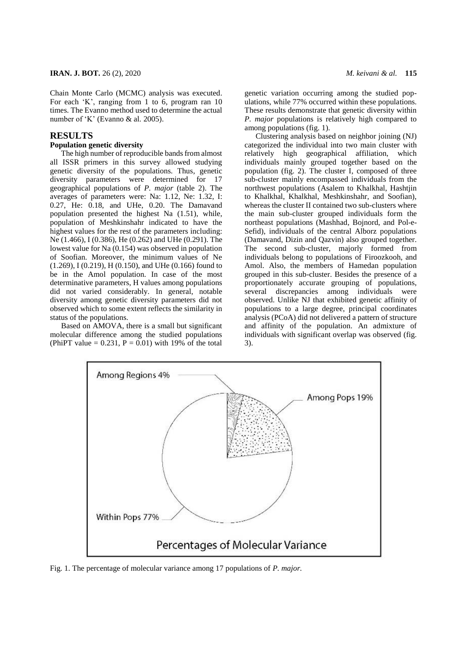Chain Monte Carlo (MCMC) analysis was executed. For each 'K', ranging from 1 to 6, program ran 10 times. The Evanno method used to determine the actual number of 'K' (Evanno & al. 2005).

#### **RESULTS**

#### **Population genetic diversity**

The high number of reproducible bands from almost all ISSR primers in this survey allowed studying genetic diversity of the populations. Thus, genetic diversity parameters were determined for 17 geographical populations of *P. major* (table 2). The averages of parameters were: Na: 1.12, Ne: 1.32, I: 0.27, He: 0.18, and UHe, 0.20. The Damavand population presented the highest Na (1.51), while, population of Meshkinshahr indicated to have the highest values for the rest of the parameters including: Ne (1.466), I (0.386), He (0.262) and UHe (0.291). The lowest value for Na (0.154) was observed in population of Soofian. Moreover, the minimum values of Ne (1.269), I (0.219), H (0.150), and UHe (0.166) found to be in the Amol population. In case of the most determinative parameters, H values among populations did not varied considerably. In general, notable diversity among genetic diversity parameters did not observed which to some extent reflects the similarity in status of the populations.

Based on AMOVA, there is a small but significant molecular difference among the studied populations (PhiPT value  $= 0.231$ ,  $P = 0.01$ ) with 19% of the total

genetic variation occurring among the studied populations, while 77% occurred within these populations. These results demonstrate that genetic diversity within *P. major* populations is relatively high compared to among populations (fig. 1).

Clustering analysis based on neighbor joining (NJ) categorized the individual into two main cluster with relatively high geographical affiliation, which individuals mainly grouped together based on the population (fig. 2). The cluster I, composed of three sub-cluster mainly encompassed individuals from the northwest populations (Asalem to Khalkhal, Hashtjin to Khalkhal, Khalkhal, Meshkinshahr, and Soofian), whereas the cluster II contained two sub-clusters where the main sub-cluster grouped individuals form the northeast populations (Mashhad, Bojnord, and Pol-e-Sefid), individuals of the central Alborz populations (Damavand, Dizin and Qazvin) also grouped together. The second sub-cluster, majorly formed from individuals belong to populations of Firoozkooh, and Amol. Also, the members of Hamedan population grouped in this sub-cluster. Besides the presence of a proportionately accurate grouping of populations, several discrepancies among individuals were observed. Unlike NJ that exhibited genetic affinity of populations to a large degree, principal coordinates analysis (PCoA) did not delivered a pattern of structure and affinity of the population. An admixture of individuals with significant overlap was observed (fig. 3).



Fig. 1. The percentage of molecular variance among 17 populations of *P. major.*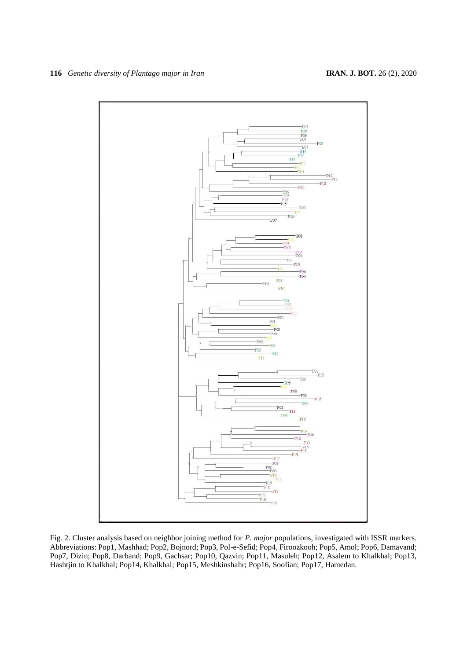

Fig. 2. Cluster analysis based on neighbor joining method for *P. major* populations, investigated with ISSR markers. Abbreviations: Pop1, Mashhad; Pop2, Bojnord; Pop3, Pol-e-Sefid; Pop4, Firoozkooh; Pop5, Amol; Pop6, Damavand; Pop7, Dizin; Pop8, Darband; Pop9, Gachsar; Pop10, Qazvin; Pop11, Masuleh; Pop12, Asalem to Khalkhal; Pop13, Hashtjin to Khalkhal; Pop14, Khalkhal; Pop15, Meshkinshahr; Pop16, Soofian; Pop17, Hamedan.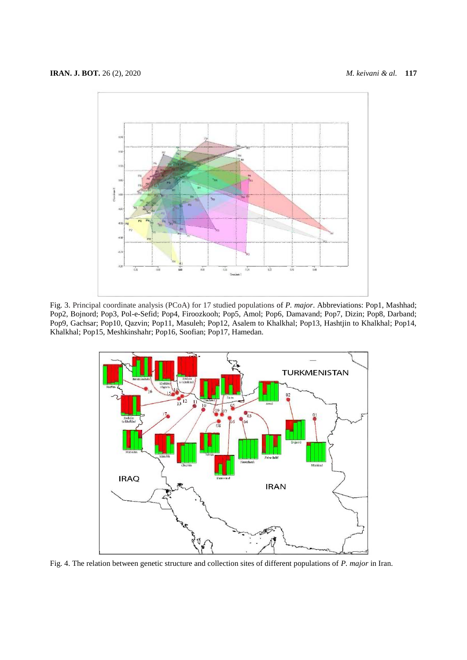

Fig. 3. Principal coordinate analysis (PCoA) for 17 studied populations of *P. major*. Abbreviations: Pop1, Mashhad; Pop2, Bojnord; Pop3, Pol-e-Sefid; Pop4, Firoozkooh; Pop5, Amol; Pop6, Damavand; Pop7, Dizin; Pop8, Darband; Pop9, Gachsar; Pop10, Qazvin; Pop11, Masuleh; Pop12, Asalem to Khalkhal; Pop13, Hashtjin to Khalkhal; Pop14, Khalkhal; Pop15, Meshkinshahr; Pop16, Soofian; Pop17, Hamedan.



Fig. 4. The relation between genetic structure and collection sites of different populations of *P. major* in Iran.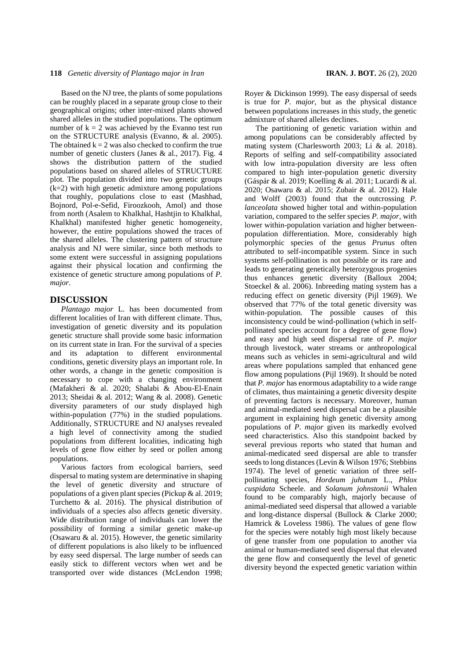#### **118** *Genetic diversity of Plantago major in Iran* **IRAN. J. BOT.** 26 (2), 2020

Based on the NJ tree, the plants of some populations can be roughly placed in a separate group close to their geographical origins; other inter-mixed plants showed shared alleles in the studied populations. The optimum number of  $k = 2$  was achieved by the Evanno test run on the STRUCTURE analysis (Evanno, & al. 2005). The obtained  $k = 2$  was also checked to confirm the true number of genetic clusters (Janes & al., 2017). Fig. 4 shows the distribution pattern of the studied populations based on shared alleles of STRUCTURE plot. The population divided into two genetic groups (k=2) with high genetic admixture among populations that roughly, populations close to east (Mashhad, Bojnord, Pol-e-Sefid, Firoozkooh, Amol) and those from north (Asalem to Khalkhal, Hashtjin to Khalkhal, Khalkhal) manifested higher genetic homogeneity, however, the entire populations showed the traces of the shared alleles. The clustering pattern of structure analysis and NJ were similar, since both methods to some extent were successful in assigning populations against their physical location and confirming the existence of genetic structure among populations of *P. major*.

## **DISCUSSION**

*Plantago major* L. has been documented from different localities of Iran with different climate. Thus, investigation of genetic diversity and its population genetic structure shall provide some basic information on its current state in Iran. For the survival of a species and its adaptation to different environmental conditions, genetic diversity plays an important role. In other words, a change in the genetic composition is necessary to cope with a changing environment (Mafakheri & al. 2020; Shalabi & Abou-El-Enain 2013; Sheidai & al. 2012; Wang & al. 2008). Genetic diversity parameters of our study displayed high within-population (77%) in the studied populations. Additionally, STRUCTURE and NJ analyses revealed a high level of connectivity among the studied populations from different localities, indicating high levels of gene flow either by seed or pollen among populations.

Various factors from ecological barriers, seed dispersal to mating system are determinative in shaping the level of genetic diversity and structure of populations of a given plant species (Pickup & al. 2019; Turchetto & al. 2016). The physical distribution of individuals of a species also affects genetic diversity. Wide distribution range of individuals can lower the possibility of forming a similar genetic make-up (Osawaru & al. 2015). However, the genetic similarity of different populations is also likely to be influenced by easy seed dispersal. The large number of seeds can easily stick to different vectors when wet and be transported over wide distances (McLendon 1998; Royer & Dickinson 1999). The easy dispersal of seeds is true for *P. major*, but as the physical distance between populations increases in this study, the genetic admixture of shared alleles declines.

The partitioning of genetic variation within and among populations can be considerably affected by mating system (Charlesworth 2003; Li & al. 2018). Reports of selfing and self-compatibility associated with low intra-population diversity are less often compared to high inter-population genetic diversity (Gáspár & al. 2019; Koelling & al. 2011; Lucardi & al. 2020; Osawaru & al. 2015; Zubair & al. 2012). Hale and Wolff (2003) found that the outcrossing *P. lanceolata* showed higher total and within-population variation, compared to the selfer species *P. major*, with lower within-population variation and higher betweenpopulation differentiation. More, considerably high polymorphic species of the genus *Prunus* often attributed to self-incompatible system. Since in such systems self-pollination is not possible or its rare and leads to generating genetically heterozygous progenies thus enhances genetic diversity (Balloux 2004; Stoeckel & al. 2006). Inbreeding mating system has a reducing effect on genetic diversity (Pijl 1969). We observed that 77% of the total genetic diversity was within-population. The possible causes of this inconsistency could be wind-pollination (which in selfpollinated species account for a degree of gene flow) and easy and high seed dispersal rate of *P. major* through livestock, water streams or anthropological means such as vehicles in semi-agricultural and wild areas where populations sampled that enhanced gene flow among populations (Pijl 1969). It should be noted that *P. major* has enormous adaptability to a wide range of climates, thus maintaining a genetic diversity despite of preventing factors is necessary. Moreover, human and animal-mediated seed dispersal can be a plausible argument in explaining high genetic diversity among populations of *P. major* given its markedly evolved seed characteristics. Also this standpoint backed by several previous reports who stated that human and animal-medicated seed dispersal are able to transfer seeds to long distances (Levin & Wilson 1976; Stebbins 1974). The level of genetic variation of three selfpollinating species, *Hordeum juhutum* L., *Phlox cuspidata* Scheele. and *Solanum johnstonii* Whalen found to be comparably high, majorly because of animal-mediated seed dispersal that allowed a variable and long-distance dispersal (Bullock & Clarke 2000; Hamrick & Loveless 1986). The values of gene flow for the species were notably high most likely because of gene transfer from one population to another via animal or human-mediated seed dispersal that elevated the gene flow and consequently the level of genetic diversity beyond the expected genetic variation within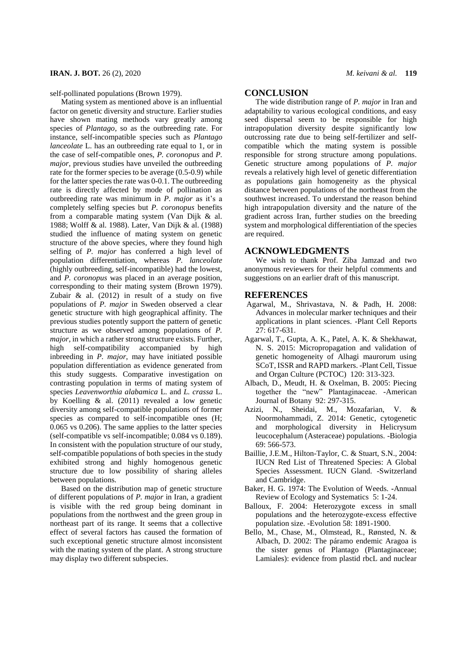self-pollinated populations (Brown 1979).

Mating system as mentioned above is an influential factor on genetic diversity and structure. Earlier studies have shown mating methods vary greatly among species of *Plantago,* so as the outbreeding rate. For instance, self-incompatible species such as *Plantago lanceolate* L. has an outbreeding rate equal to 1, or in the case of self-compatible ones, *P. coronopus* and *P. major*, previous studies have unveiled the outbreeding rate for the former species to be average (0.5-0.9) while for the latter species the rate was 0-0.1. The outbreeding rate is directly affected by mode of pollination as outbreeding rate was minimum in *P. major* as it's a completely selfing species but *P. coronopus* benefits from a comparable mating system (Van Dijk & al. 1988; Wolff & al. 1988). Later, Van Dijk & al. (1988) studied the influence of mating system on genetic structure of the above species, where they found high selfing of *P. major* has conferred a high level of population differentiation, whereas *P. lanceolate* (highly outbreeding, self-incompatible) had the lowest, and *P. coronopus* was placed in an average position, corresponding to their mating system (Brown 1979). Zubair & al. (2012) in result of a study on five populations of *P. major* in Sweden observed a clear genetic structure with high geographical affinity. The previous studies potently support the pattern of genetic structure as we observed among populations of *P. major*, in which a rather strong structure exists. Further, high self-compatibility accompanied by high inbreeding in *P. major*, may have initiated possible population differentiation as evidence generated from this study suggests. Comparative investigation on contrasting population in terms of mating system of species *Leavenworthia alabamica* L. and *L. crassa* L. by Koelling & al. (2011) revealed a low genetic diversity among self-compatible populations of former species as compared to self-incompatible ones (H; 0.065 vs 0.206). The same applies to the latter species (self-compatible vs self-incompatible; 0.084 vs 0.189). In consistent with the population structure of our study, self-compatible populations of both species in the study exhibited strong and highly homogenous genetic structure due to low possibility of sharing alleles between populations.

Based on the distribution map of genetic structure of different populations of *P. major* in Iran, a gradient is visible with the red group being dominant in populations from the northwest and the green group in northeast part of its range. It seems that a collective effect of several factors has caused the formation of such exceptional genetic structure almost inconsistent with the mating system of the plant. A strong structure may display two different subspecies.

#### **CONCLUSION**

The wide distribution range of *P. major* in Iran and adaptability to various ecological conditions, and easy seed dispersal seem to be responsible for high intrapopulation diversity despite significantly low outcrossing rate due to being self-fertilizer and selfcompatible which the mating system is possible responsible for strong structure among populations. Genetic structure among populations of *P. major* reveals a relatively high level of genetic differentiation as populations gain homogeneity as the physical distance between populations of the northeast from the southwest increased. To understand the reason behind high intrapopulation diversity and the nature of the gradient across Iran, further studies on the breeding system and morphological differentiation of the species are required.

#### **ACKNOWLEDGMENTS**

We wish to thank Prof. Ziba Jamzad and two anonymous reviewers for their helpful comments and suggestions on an earlier draft of this manuscript.

## **REFERENCES**

- Agarwal, M., Shrivastava, N. & Padh, H. 2008: Advances in molecular marker techniques and their applications in plant sciences. -Plant Cell Reports 27: 617-631.
- Agarwal, T., Gupta, A. K., Patel, A. K. & Shekhawat, N. S. 2015: Micropropagation and validation of genetic homogeneity of Alhagi maurorum using SCoT, ISSR and RAPD markers. -Plant Cell, Tissue and Organ Culture (PCTOC) 120: 313-323.
- Albach, D., Meudt, H. & Oxelman, B. 2005: Piecing together the "new" Plantaginaceae. -American Journal of Botany 92: 297-315.
- Azizi, N., Sheidai, M., Mozafarian, V. & Noormohammadi, Z. 2014: Genetic, cytogenetic and morphological diversity in Helicrysum leucocephalum (Asteraceae) populations. -Biologia 69: 566-573.
- Baillie, J.E.M., Hilton-Taylor, C. & Stuart, S.N., 2004: IUCN Red List of Threatened Species: A Global Species Assessment. IUCN Gland. -Switzerland and Cambridge.
- Baker, H. G. 1974: The Evolution of Weeds. **-**Annual Review of Ecology and Systematics 5: 1-24.
- Balloux, F. 2004: Heterozygote excess in small populations and the heterozygote‐excess effective population size. -Evolution 58: 1891-1900.
- Bello, M., Chase, M., Olmstead, R., Rønsted, N. & Albach, D. 2002: The páramo endemic Aragoa is the sister genus of Plantago (Plantaginaceae; Lamiales): evidence from plastid rbcL and nuclear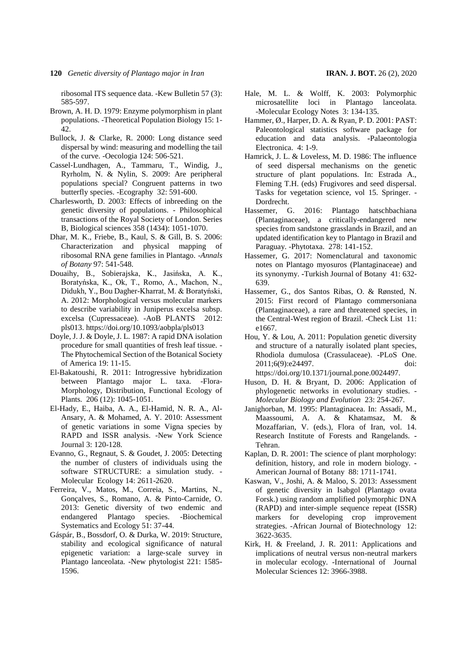**120** *Genetic diversity of Plantago major in Iran* **IRAN. J. BOT.** 26 (2), 2020

ribosomal ITS sequence data. -Kew Bulletin 57 (3): 585-597.

- Brown, A. H. D. 1979: Enzyme polymorphism in plant populations. -Theoretical Population Biology 15: 1- 42.
- Bullock, J. & Clarke, R. 2000: Long distance seed dispersal by wind: measuring and modelling the tail of the curve. -Oecologia 124: 506-521.
- Cassel‐Lundhagen, A., Tammaru, T., Windig, J., Ryrholm, N. & Nylin, S. 2009: Are peripheral populations special? Congruent patterns in two butterfly species. -Ecography 32: 591-600.
- Charlesworth, D. 2003: Effects of inbreeding on the genetic diversity of populations. - Philosophical transactions of the Royal Society of London. Series B, Biological sciences 358 (1434): 1051-1070.
- Dhar, M. K., Friebe, B., Kaul, S. & Gill, B. S. 2006: Characterization and physical mapping of ribosomal RNA gene families in Plantago. -*Annals of Botany* 97: 541-548.
- Douaihy, B., Sobierajska, K., Jasińska, A. K., Boratyńska, K., Ok, T., Romo, A., Machon, N., Didukh, Y., Bou Dagher-Kharrat, M. & Boratyński, A. 2012: Morphological versus molecular markers to describe variability in Juniperus excelsa subsp. excelsa (Cupressaceae). -AoB PLANTS 2012: pls013. https://doi.org/10.1093/aobpla/pls013
- Doyle, J. J. & Doyle, J. L. 1987: A rapid DNA isolation procedure for small quantities of fresh leaf tissue. - The Phytochemical Section of the Botanical Society of America 19: 11-15.
- El-Bakatoushi, R. 2011: Introgressive hybridization between Plantago major L. taxa. -Flora-Morphology, Distribution, Functional Ecology of Plants. 206 (12): 1045-1051.
- El-Hady, E., Haiba, A. A., El-Hamid, N. R. A., Al-Ansary, A. & Mohamed, A. Y. 2010: Assessment of genetic variations in some Vigna species by RAPD and ISSR analysis. -New York Science Journal 3: 120-128.
- Evanno, G., Regnaut, S. & Goudet, J. 2005: Detecting the number of clusters of individuals using the software STRUCTURE: a simulation study. - Molecular Ecology 14: 2611-2620.
- Ferreira, V., Matos, M., Correia, S., Martins, N., Gonçalves, S., Romano, A. & Pinto-Carnide, O. 2013: Genetic diversity of two endemic and endangered Plantago species. -Biochemical Systematics and Ecology 51: 37-44.
- Gáspár, B., Bossdorf, O. & Durka, W. 2019: Structure, stability and ecological significance of natural epigenetic variation: a large‐scale survey in Plantago lanceolata. -New phytologist 221: 1585- 1596.
- Hale, M. L. & Wolff, K. 2003: Polymorphic microsatellite loci in Plantago lanceolata. -Molecular Ecology Notes 3: 134-135.
- Hammer, Ø., Harper, D. A. & Ryan, P. D. 2001: PAST: Paleontological statistics software package for education and data analysis. **-**Palaeontologia Electronica. 4: 1-9.
- Hamrick, J. L. & Loveless, M. D. 1986: The influence of seed dispersal mechanisms on the genetic structure of plant populations. In: Estrada A., Fleming T.H. (eds) Frugivores and seed dispersal. Tasks for vegetation science, vol 15. Springer. - Dordrecht.
- Hassemer, G. 2016: Plantago hatschbachiana (Plantaginaceae), a critically-endangered new species from sandstone grasslands in Brazil, and an updated identification key to Plantago in Brazil and Paraguay. -Phytotaxa. 278: 141-152.
- Hassemer, G. 2017: Nomenclatural and taxonomic notes on Plantago myosuros (Plantaginaceae) and its synonymy. **-**Turkish Journal of Botany41: 632- 639.
- Hassemer, G., dos Santos Ribas, O. & Rønsted, N. 2015: First record of Plantago commersoniana (Plantaginaceae), a rare and threatened species, in the Central-West region of Brazil. -Check List 11: e1667.
- Hou, Y. & Lou, A. 2011: Population genetic diversity and structure of a naturally isolated plant species, Rhodiola dumulosa (Crassulaceae). -PLoS One. 2011;6(9):e24497. doi: https://doi.org/10.1371/journal.pone.0024497.
- Huson, D. H. & Bryant, D. 2006: Application of phylogenetic networks in evolutionary studies. - *Molecular Biology and Evolution* 23: 254-267.
- Janighorban, M. 1995: Plantaginacea. In: Assadi, M., Maassoumi, A. A. & Khatamsaz, M. & Mozaffarian, V. (eds.), Flora of Iran, vol. 14. Research Institute of Forests and Rangelands. **-** Tehran.
- Kaplan, D. R. 2001: The science of plant morphology: definition, history, and role in modern biology. **-** American Journal of Botany 88: 1711-1741.
- Kaswan, V., Joshi, A. & Maloo, S. 2013: Assessment of genetic diversity in Isabgol (Plantago ovata Forsk.) using random amplified polymorphic DNA (RAPD) and inter-simple sequence repeat (ISSR) markers for developing crop improvement strategies. -African Journal of Biotechnology 12: 3622-3635.
- Kirk, H. & Freeland, J. R. 2011: Applications and implications of neutral versus non-neutral markers in molecular ecology. -International of Journal Molecular Sciences 12: 3966-3988.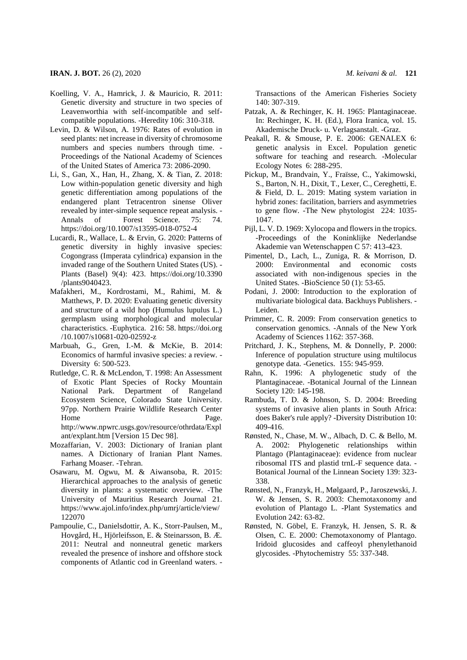- Koelling, V. A., Hamrick, J. & Mauricio, R. 2011: Genetic diversity and structure in two species of Leavenworthia with self-incompatible and selfcompatible populations. -Heredity 106: 310-318.
- Levin, D. & Wilson, A. 1976: Rates of evolution in seed plants: net increase in diversity of chromosome numbers and species numbers through time. - Proceedings of the National Academy of Sciences of the United States of America 73: 2086-2090.
- Li, S., Gan, X., Han, H., Zhang, X. & Tian, Z. 2018: Low within-population genetic diversity and high genetic differentiation among populations of the endangered plant Tetracentron sinense Oliver revealed by inter-simple sequence repeat analysis. - Annals of Forest Science. 75: 74. https://doi.org/10.1007/s13595-018-0752-4
- Lucardi, R., Wallace, L. & Ervin, G. 2020: Patterns of genetic diversity in highly invasive species: Cogongrass (Imperata cylindrica) expansion in the invaded range of the Southern United States (US). - Plants (Basel) 9(4): 423. https://doi.org/10.3390 /plants9040423.
- Mafakheri, M., Kordrostami, M., Rahimi, M. & Matthews, P. D. 2020: Evaluating genetic diversity and structure of a wild hop (Humulus lupulus L.) germplasm using morphological and molecular characteristics. -Euphytica. 216: 58. https://doi.org /10.1007/s10681-020-02592-z
- Marbuah, G., Gren, I.-M. & McKie, B. 2014: Economics of harmful invasive species: a review. - Diversity 6: 500-523.
- Rutledge, C. R. & McLendon, T. 1998: An Assessment of Exotic Plant Species of Rocky Mountain National Park. Department of Rangeland Ecosystem Science, Colorado State University. 97pp. Northern Prairie Wildlife Research Center Home Page. http://www.npwrc.usgs.gov/resource/othrdata/Expl ant/explant.htm [Version 15 Dec 98].
- Mozaffarian, V. 2003: Dictionary of Iranian plant names. A Dictionary of Iranian Plant Names. Farhang Moaser. -Tehran.
- Osawaru, M. Ogwu, M. & Aiwansoba, R. 2015: Hierarchical approaches to the analysis of genetic diversity in plants: a systematic overview. -The University of Mauritius Research Journal 21. https://www.ajol.info/index.php/umrj/article/view/ 122070
- Pampoulie, C., Danielsdottir, A. K., Storr-Paulsen, M., Hovgård, H., Hjörleifsson, E. & Steinarsson, B. Æ. 2011: Neutral and nonneutral genetic markers revealed the presence of inshore and offshore stock components of Atlantic cod in Greenland waters. -

Transactions of the American Fisheries Society 140: 307-319.

- Patzak, A. & Rechinger, K. H. 1965: Plantaginaceae. In: Rechinger, K. H. (Ed.), Flora Iranica, vol. 15. Akademische Druck- u. Verlagsanstalt. -Graz.
- Peakall, R. & Smouse, P. E. 2006: GENALEX 6: genetic analysis in Excel. Population genetic software for teaching and research. -Molecular Ecology Notes 6: 288-295.
- Pickup, M., Brandvain, Y., Fraïsse, C., Yakimowski, S., Barton, N. H., Dixit, T., Lexer, C., Cereghetti, E. & Field, D. L. 2019: Mating system variation in hybrid zones: facilitation, barriers and asymmetries to gene flow. -The New phytologist 224: 1035- 1047.
- Pijl, L. V. D. 1969: Xylocopa and flowers in the tropics. -Proceedings of the Koninklijke Nederlandse Akademie van Wetenschappen C 57: 413-423.
- Pimentel, D., Lach, L., Zuniga, R. & Morrison, D. 2000: Environmental and economic costs associated with non-indigenous species in the United States. -BioScience 50 (1): 53-65.
- Podani, J. 2000: Introduction to the exploration of multivariate biological data. Backhuys Publishers. - Leiden.
- Primmer, C. R. 2009: From conservation genetics to conservation genomics. -Annals of the New York Academy of Sciences 1162: 357-368.
- Pritchard, J. K., Stephens, M. & Donnelly, P. 2000: Inference of population structure using multilocus genotype data. -Genetics. 155: 945-959.
- Rahn, K. 1996: A phylogenetic study of the Plantaginaceae. -Botanical Journal of the Linnean Society 120: 145-198.
- Rambuda, T. D. & Johnson, S. D. 2004: Breeding systems of invasive alien plants in South Africa: does Baker's rule apply? -Diversity Distribution 10: 409-416.
- Rønsted, N., Chase, M. W., Albach, D. C. & Bello, M. A. 2002: Phylogenetic relationships within Plantago (Plantaginaceae): evidence from nuclear ribosomal ITS and plastid trnL-F sequence data. - Botanical Journal of the Linnean Society 139: 323- 338.
- Rønsted, N., Franzyk, H., Mølgaard, P., Jaroszewski, J. W. & Jensen, S. R. 2003: Chemotaxonomy and evolution of Plantago L. -Plant Systematics and Evolution 242: 63-82.
- Rønsted, N. Göbel, E. Franzyk, H. Jensen, S. R. & Olsen, C. E. 2000: Chemotaxonomy of Plantago. Iridoid glucosides and caffeoyl phenylethanoid glycosides. -Phytochemistry 55: 337-348.